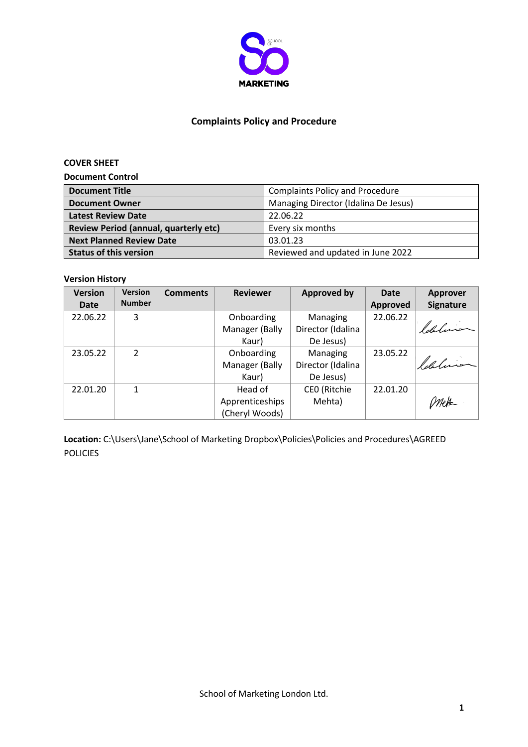

### **Complaints Policy and Procedure**

### **COVER SHEET**

**Document Control**

| <b>Document Title</b>                 | <b>Complaints Policy and Procedure</b> |  |  |
|---------------------------------------|----------------------------------------|--|--|
| <b>Document Owner</b>                 | Managing Director (Idalina De Jesus)   |  |  |
| <b>Latest Review Date</b>             | 22.06.22                               |  |  |
| Review Period (annual, quarterly etc) | Every six months                       |  |  |
| <b>Next Planned Review Date</b>       | 03.01.23                               |  |  |
| <b>Status of this version</b>         | Reviewed and updated in June 2022      |  |  |

### **Version History**

| <b>Version</b> | <b>Version</b> | <b>Comments</b> | <b>Reviewer</b> | <b>Approved by</b> | <b>Date</b> | Approver         |
|----------------|----------------|-----------------|-----------------|--------------------|-------------|------------------|
| <b>Date</b>    | <b>Number</b>  |                 |                 |                    | Approved    | <b>Signature</b> |
| 22.06.22       | 3              |                 | Onboarding      | Managing           | 22.06.22    |                  |
|                |                |                 | Manager (Bally  | Director (Idalina  |             | ldaluis          |
|                |                |                 | Kaur)           | De Jesus)          |             |                  |
| 23.05.22       | C.             |                 | Onboarding      | Managing           | 23.05.22    |                  |
|                |                |                 | Manager (Bally  | Director (Idalina  |             | ldeline          |
|                |                |                 | Kaur)           | De Jesus)          |             |                  |
| 22.01.20       | 1              |                 | Head of         | CEO (Ritchie       | 22.01.20    |                  |
|                |                |                 | Apprenticeships | Mehta)             |             |                  |
|                |                |                 | (Cheryl Woods)  |                    |             |                  |

Location: C:\Users\Jane\School of Marketing Dropbox\Policies\Policies and Procedures\AGREED POLICIES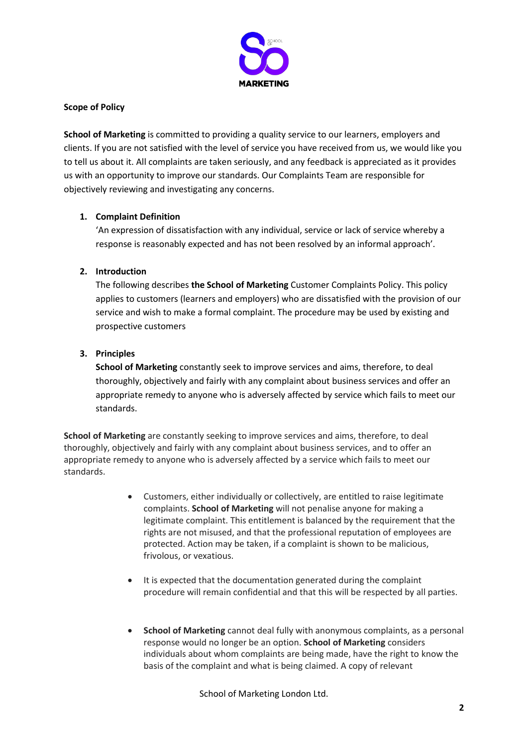

### **Scope of Policy**

**School of Marketing** is committed to providing a quality service to our learners, employers and clients. If you are not satisfied with the level of service you have received from us, we would like you to tell us about it. All complaints are taken seriously, and any feedback is appreciated as it provides us with an opportunity to improve our standards. Our Complaints Team are responsible for objectively reviewing and investigating any concerns.

## **1. Complaint Definition**

'An expression of dissatisfaction with any individual, service or lack of service whereby a response is reasonably expected and has not been resolved by an informal approach'.

## **2. Introduction**

The following describes **the School of Marketing** Customer Complaints Policy. This policy applies to customers (learners and employers) who are dissatisfied with the provision of our service and wish to make a formal complaint. The procedure may be used by existing and prospective customers

## **3. Principles**

**School of Marketing** constantly seek to improve services and aims, therefore, to deal thoroughly, objectively and fairly with any complaint about business services and offer an appropriate remedy to anyone who is adversely affected by service which fails to meet our standards.

**School of Marketing** are constantly seeking to improve services and aims, therefore, to deal thoroughly, objectively and fairly with any complaint about business services, and to offer an appropriate remedy to anyone who is adversely affected by a service which fails to meet our standards.

- Customers, either individually or collectively, are entitled to raise legitimate complaints. **School of Marketing** will not penalise anyone for making a legitimate complaint. This entitlement is balanced by the requirement that the rights are not misused, and that the professional reputation of employees are protected. Action may be taken, if a complaint is shown to be malicious, frivolous, or vexatious.
- It is expected that the documentation generated during the complaint procedure will remain confidential and that this will be respected by all parties.
- **•** School of Marketing cannot deal fully with anonymous complaints, as a personal response would no longer be an option. **School of Marketing** considers individuals about whom complaints are being made, have the right to know the basis of the complaint and what is being claimed. A copy of relevant

School of Marketing London Ltd.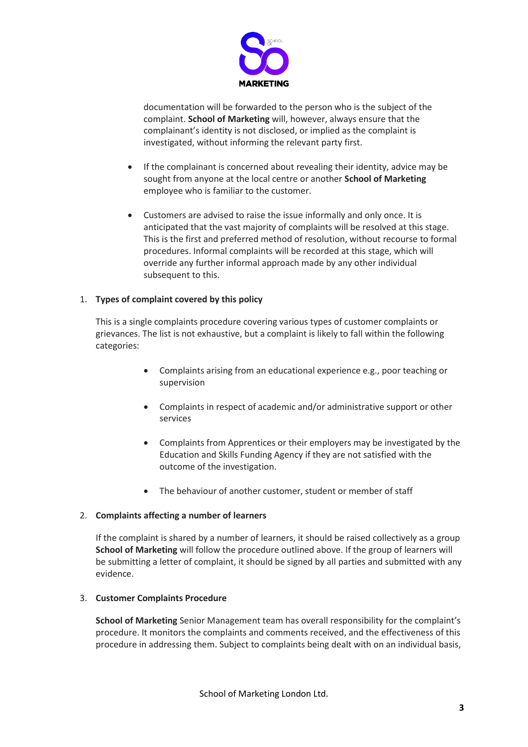

documentation will be forwarded to the person who is the subject of the complaint. **School of Marketing** will, however, always ensure that the complainant's identity is not disclosed, or implied as the complaint is investigated, without informing the relevant party first.

- If the complainant is concerned about revealing their identity, advice may be sought from anyone at the local centre or another **School of Marketing** employee who is familiar to the customer.
- Customers are advised to raise the issue informally and only once. It is anticipated that the vast majority of complaints will be resolved at this stage. This is the first and preferred method of resolution, without recourse to formal procedures. Informal complaints will be recorded at this stage, which will override any further informal approach made by any other individual subsequent to this.

### 1. **Types of complaint covered by this policy**

This is a single complaints procedure covering various types of customer complaints or grievances. The list is not exhaustive, but a complaint is likely to fall within the following categories:

- x Complaints arising from an educational experience e.g., poor teaching or supervision
- Complaints in respect of academic and/or administrative support or other services
- Complaints from Apprentices or their employers may be investigated by the Education and Skills Funding Agency if they are not satisfied with the outcome of the investigation.
- The behaviour of another customer, student or member of staff

### 2. **Complaints affecting a number of learners**

If the complaint is shared by a number of learners, it should be raised collectively as a group **School of Marketing** will follow the procedure outlined above. If the group of learners will be submitting a letter of complaint, it should be signed by all parties and submitted with any evidence.

#### 3. **Customer Complaints Procedure**

**School of Marketing** Senior Management team has overall responsibility for the complaint's procedure. It monitors the complaints and comments received, and the effectiveness of this procedure in addressing them. Subject to complaints being dealt with on an individual basis,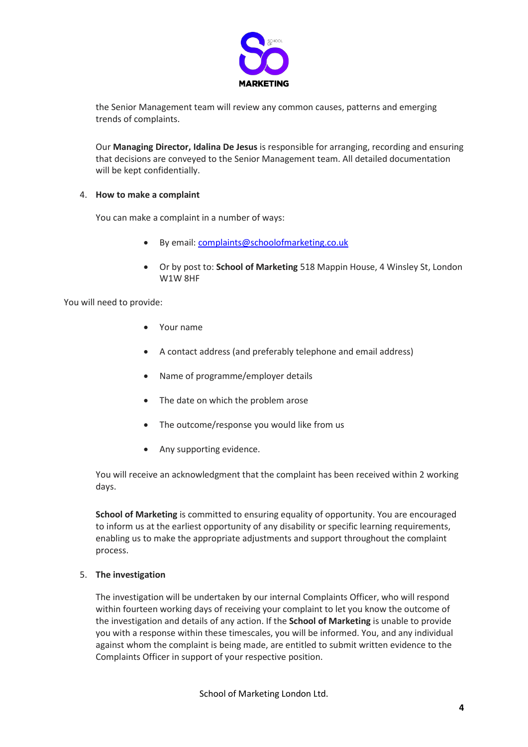

the Senior Management team will review any common causes, patterns and emerging trends of complaints.

Our **Managing Director, Idalina De Jesus** is responsible for arranging, recording and ensuring that decisions are conveyed to the Senior Management team. All detailed documentation will be kept confidentially.

### 4. **How to make a complaint**

You can make a complaint in a number of ways:

- x By email: complaints@schoolofmarketing.co.uk
- x Or by post to: **School of Marketing** 518 Mappin House, 4 Winsley St, London W1W 8HF

You will need to provide:

- $\bullet$  Your name
- x A contact address (and preferably telephone and email address)
- Name of programme/employer details
- The date on which the problem arose
- The outcome/response you would like from us
- Any supporting evidence.

You will receive an acknowledgment that the complaint has been received within 2 working days.

**School of Marketing** is committed to ensuring equality of opportunity. You are encouraged to inform us at the earliest opportunity of any disability or specific learning requirements, enabling us to make the appropriate adjustments and support throughout the complaint process.

#### 5. **The investigation**

The investigation will be undertaken by our internal Complaints Officer, who will respond within fourteen working days of receiving your complaint to let you know the outcome of the investigation and details of any action. If the **School of Marketing** is unable to provide you with a response within these timescales, you will be informed. You, and any individual against whom the complaint is being made, are entitled to submit written evidence to the Complaints Officer in support of your respective position.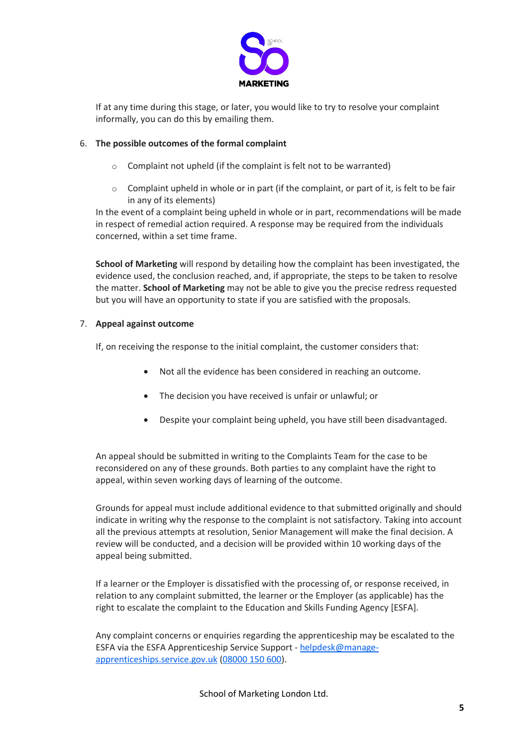

If at any time during this stage, or later, you would like to try to resolve your complaint informally, you can do this by emailing them.

### 6. **The possible outcomes of the formal complaint**

- o Complaint not upheld (if the complaint is felt not to be warranted)
- o Complaint upheld in whole or in part (if the complaint, or part of it, is felt to be fair in any of its elements)

In the event of a complaint being upheld in whole or in part, recommendations will be made in respect of remedial action required. A response may be required from the individuals concerned, within a set time frame.

**School of Marketing** will respond by detailing how the complaint has been investigated, the evidence used, the conclusion reached, and, if appropriate, the steps to be taken to resolve the matter. **School of Marketing** may not be able to give you the precise redress requested but you will have an opportunity to state if you are satisfied with the proposals.

### 7. **Appeal against outcome**

If, on receiving the response to the initial complaint, the customer considers that:

- Not all the evidence has been considered in reaching an outcome.
- The decision you have received is unfair or unlawful; or
- Despite your complaint being upheld, you have still been disadvantaged.

An appeal should be submitted in writing to the Complaints Team for the case to be reconsidered on any of these grounds. Both parties to any complaint have the right to appeal, within seven working days of learning of the outcome.

Grounds for appeal must include additional evidence to that submitted originally and should indicate in writing why the response to the complaint is not satisfactory. Taking into account all the previous attempts at resolution, Senior Management will make the final decision. A review will be conducted, and a decision will be provided within 10 working days of the appeal being submitted.

If a learner or the Employer is dissatisfied with the processing of, or response received, in relation to any complaint submitted, the learner or the Employer (as applicable) has the right to escalate the complaint to the Education and Skills Funding Agency [ESFA].

Any complaint concerns or enquiries regarding the apprenticeship may be escalated to the ESFA via the ESFA Apprenticeship Service Support - [helpdesk@manage](mailto:helpdesk@manage-apprenticeships.service.gov.uk)[apprenticeships.service.gov.uk](mailto:helpdesk@manage-apprenticeships.service.gov.uk) [\(08000 150 600\)](tel:08000150600).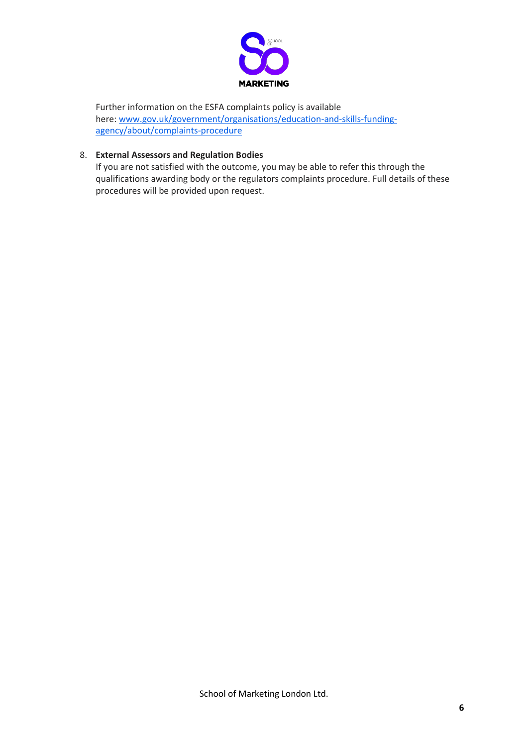

Further information on the ESFA complaints policy is available here: [www.gov.uk/government/organisations/education-and-skills-funding](https://www.gov.uk/government/organisations/education-and-skills-funding-agency/about/complaints-procedure)[agency/about/complaints-procedure](https://www.gov.uk/government/organisations/education-and-skills-funding-agency/about/complaints-procedure)

# 8. **External Assessors and Regulation Bodies**

If you are not satisfied with the outcome, you may be able to refer this through the qualifications awarding body or the regulators complaints procedure. Full details of these procedures will be provided upon request.